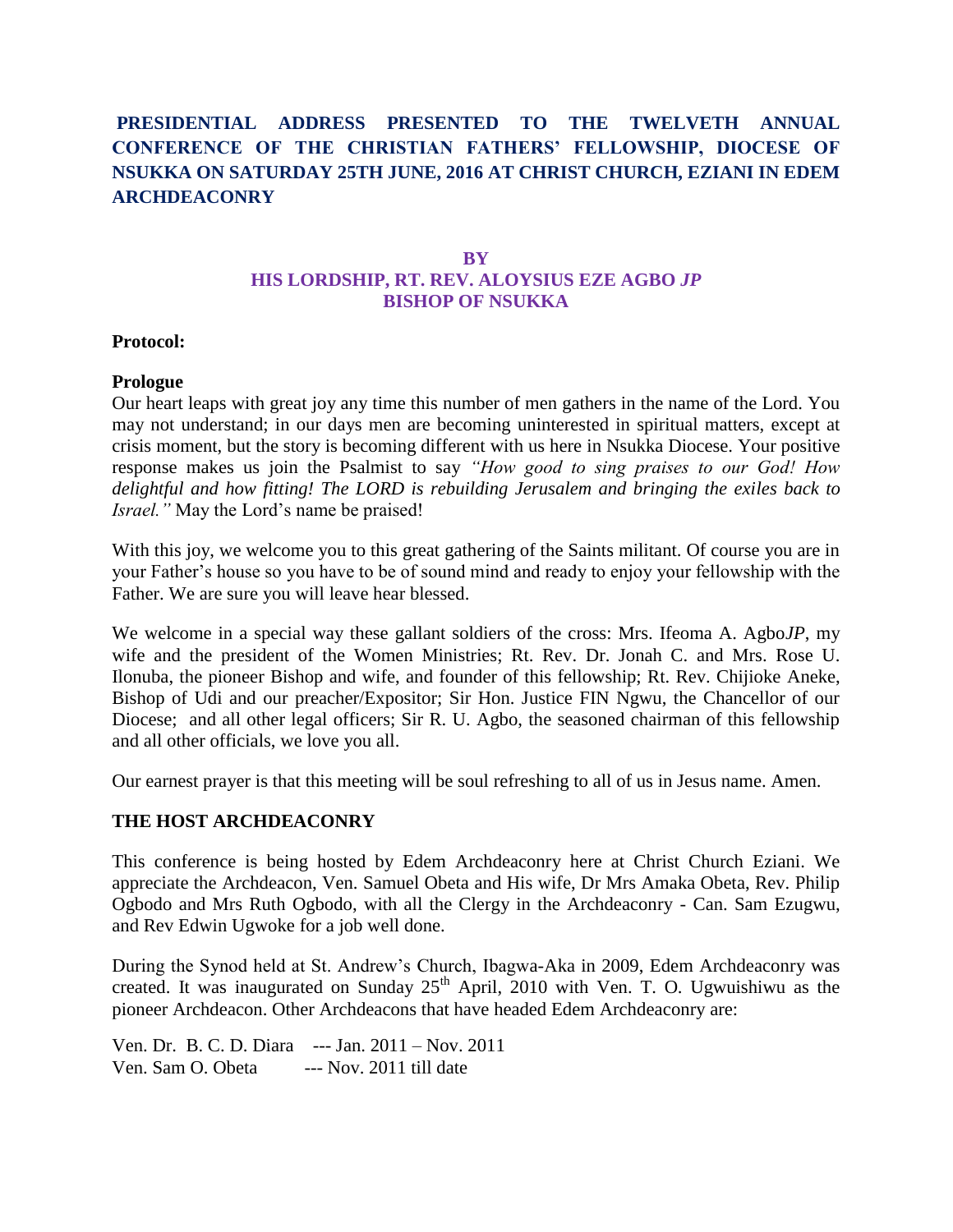# **PRESIDENTIAL ADDRESS PRESENTED TO THE TWELVETH ANNUAL CONFERENCE OF THE CHRISTIAN FATHERS' FELLOWSHIP, DIOCESE OF NSUKKA ON SATURDAY 25TH JUNE, 2016 AT CHRIST CHURCH, EZIANI IN EDEM ARCHDEACONRY**

## **BY HIS LORDSHIP, RT. REV. ALOYSIUS EZE AGBO** *JP* **BISHOP OF NSUKKA**

#### **Protocol:**

#### **Prologue**

Our heart leaps with great joy any time this number of men gathers in the name of the Lord. You may not understand; in our days men are becoming uninterested in spiritual matters, except at crisis moment, but the story is becoming different with us here in Nsukka Diocese. Your positive response makes us join the Psalmist to say *"How good to sing praises to our God! How delightful and how fitting! The LORD is rebuilding Jerusalem and bringing the exiles back to Israel."* May the Lord's name be praised!

With this joy, we welcome you to this great gathering of the Saints militant. Of course you are in your Father's house so you have to be of sound mind and ready to enjoy your fellowship with the Father. We are sure you will leave hear blessed.

We welcome in a special way these gallant soldiers of the cross: Mrs. Ifeoma A. Agbo*JP*, my wife and the president of the Women Ministries; Rt. Rev. Dr. Jonah C. and Mrs. Rose U. Ilonuba, the pioneer Bishop and wife, and founder of this fellowship; Rt. Rev. Chijioke Aneke, Bishop of Udi and our preacher/Expositor; Sir Hon. Justice FIN Ngwu, the Chancellor of our Diocese; and all other legal officers; Sir R. U. Agbo, the seasoned chairman of this fellowship and all other officials, we love you all.

Our earnest prayer is that this meeting will be soul refreshing to all of us in Jesus name. Amen.

## **THE HOST ARCHDEACONRY**

This conference is being hosted by Edem Archdeaconry here at Christ Church Eziani. We appreciate the Archdeacon, Ven. Samuel Obeta and His wife, Dr Mrs Amaka Obeta, Rev. Philip Ogbodo and Mrs Ruth Ogbodo, with all the Clergy in the Archdeaconry - Can. Sam Ezugwu, and Rev Edwin Ugwoke for a job well done.

During the Synod held at St. Andrew's Church, Ibagwa-Aka in 2009, Edem Archdeaconry was created. It was inaugurated on Sunday  $25<sup>th</sup>$  April, 2010 with Ven. T. O. Ugwuishiwu as the pioneer Archdeacon. Other Archdeacons that have headed Edem Archdeaconry are:

Ven. Dr. B. C. D. Diara --- Jan. 2011 – Nov. 2011 Ven. Sam O. Obeta --- Nov. 2011 till date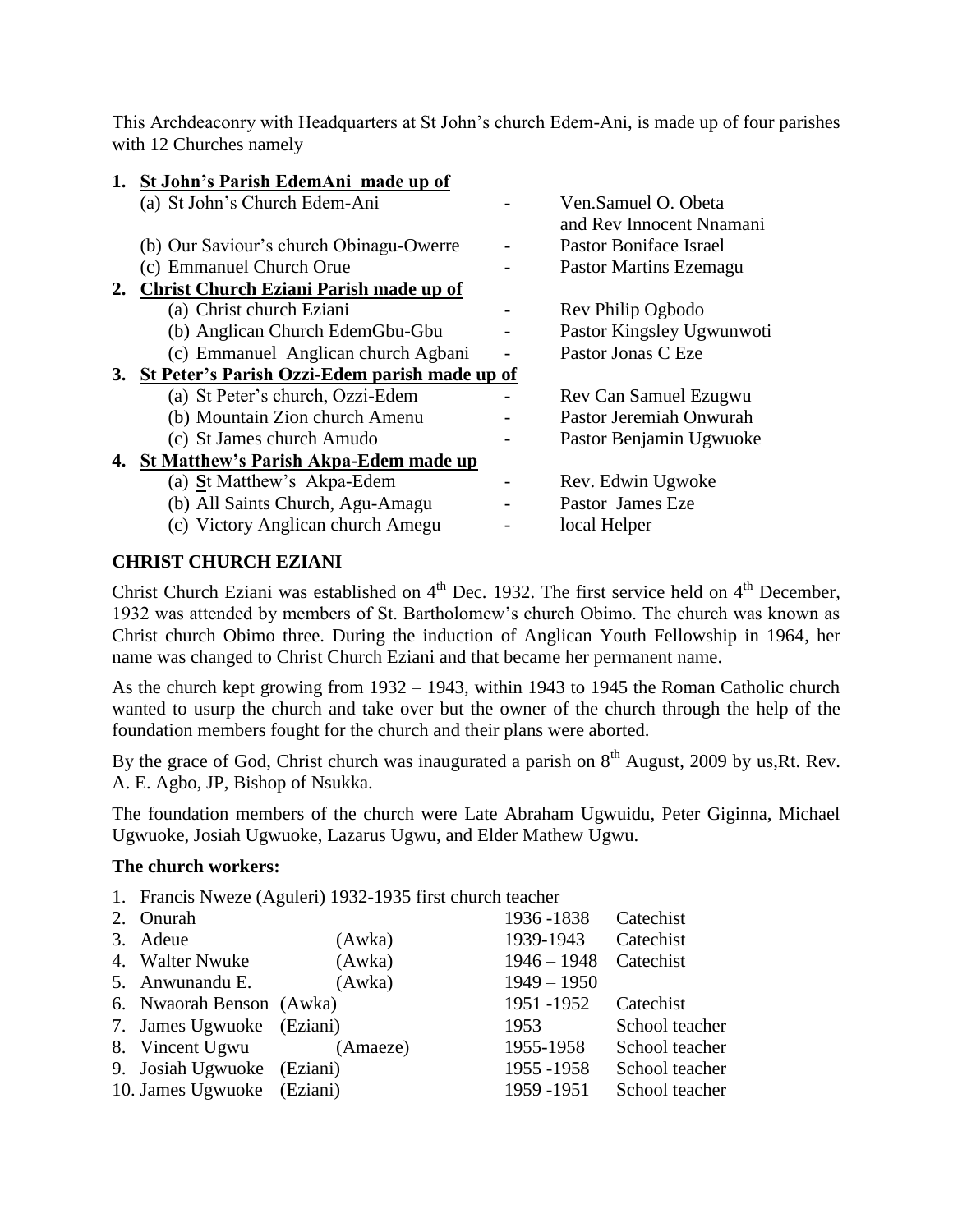This Archdeaconry with Headquarters at St John's church Edem-Ani, is made up of four parishes with 12 Churches namely

| 1. St John's Parish EdemAni made up of           |                                                 |
|--------------------------------------------------|-------------------------------------------------|
| (a) St John's Church Edem-Ani                    | Ven.Samuel O. Obeta<br>and Rev Innocent Nnamani |
| (b) Our Saviour's church Obinagu-Owerre          | Pastor Boniface Israel                          |
| (c) Emmanuel Church Orue                         | <b>Pastor Martins Ezemagu</b>                   |
| 2. Christ Church Eziani Parish made up of        |                                                 |
| (a) Christ church Eziani                         | Rev Philip Ogbodo                               |
| (b) Anglican Church EdemGbu-Gbu                  | Pastor Kingsley Ugwunwoti                       |
| (c) Emmanuel Anglican church Agbani              | Pastor Jonas C Eze                              |
| 3. St Peter's Parish Ozzi-Edem parish made up of |                                                 |
| (a) St Peter's church, Ozzi-Edem                 | Rev Can Samuel Ezugwu                           |
| (b) Mountain Zion church Amenu                   | Pastor Jeremiah Onwurah                         |
| (c) St James church Amudo                        | Pastor Benjamin Ugwuoke                         |
| 4. St Matthew's Parish Akpa-Edem made up         |                                                 |
| (a) <b>S</b> t Matthew's Akpa-Edem               | Rev. Edwin Ugwoke                               |
| (b) All Saints Church, Agu-Amagu                 | Pastor James Eze                                |
| (c) Victory Anglican church Amegu                | local Helper                                    |
|                                                  |                                                 |

## **CHRIST CHURCH EZIANI**

Christ Church Eziani was established on  $4<sup>th</sup>$  Dec. 1932. The first service held on  $4<sup>th</sup>$  December, 1932 was attended by members of St. Bartholomew's church Obimo. The church was known as Christ church Obimo three. During the induction of Anglican Youth Fellowship in 1964, her name was changed to Christ Church Eziani and that became her permanent name.

As the church kept growing from 1932 – 1943, within 1943 to 1945 the Roman Catholic church wanted to usurp the church and take over but the owner of the church through the help of the foundation members fought for the church and their plans were aborted.

By the grace of God, Christ church was inaugurated a parish on  $8<sup>th</sup>$  August, 2009 by us, Rt. Rev. A. E. Agbo, JP, Bishop of Nsukka.

The foundation members of the church were Late Abraham Ugwuidu, Peter Giginna, Michael Ugwuoke, Josiah Ugwuoke, Lazarus Ugwu, and Elder Mathew Ugwu.

## **The church workers:**

1. Francis Nweze (Aguleri) 1932-1935 first church teacher

| 2. Onurah                  |          | 1936 - 1838           | Catechist      |
|----------------------------|----------|-----------------------|----------------|
| 3. Adeue                   | (Awka)   | 1939-1943 Catechist   |                |
| 4. Walter Nwuke            | (Awka)   | 1946 - 1948 Catechist |                |
| 5. Anwunandu E.            | (Awka)   | $1949 - 1950$         |                |
| 6. Nwaorah Benson (Awka)   |          | 1951 -1952            | Catechist      |
| 7. James Ugwuoke (Eziani)  |          | 1953                  | School teacher |
| 8. Vincent Ugwu            | (Amaeze) | 1955-1958             | School teacher |
| 9. Josiah Ugwuoke (Eziani) |          | 1955 - 1958           | School teacher |
| 10. James Ugwuoke (Eziani) |          | 1959 - 1951           | School teacher |
|                            |          |                       |                |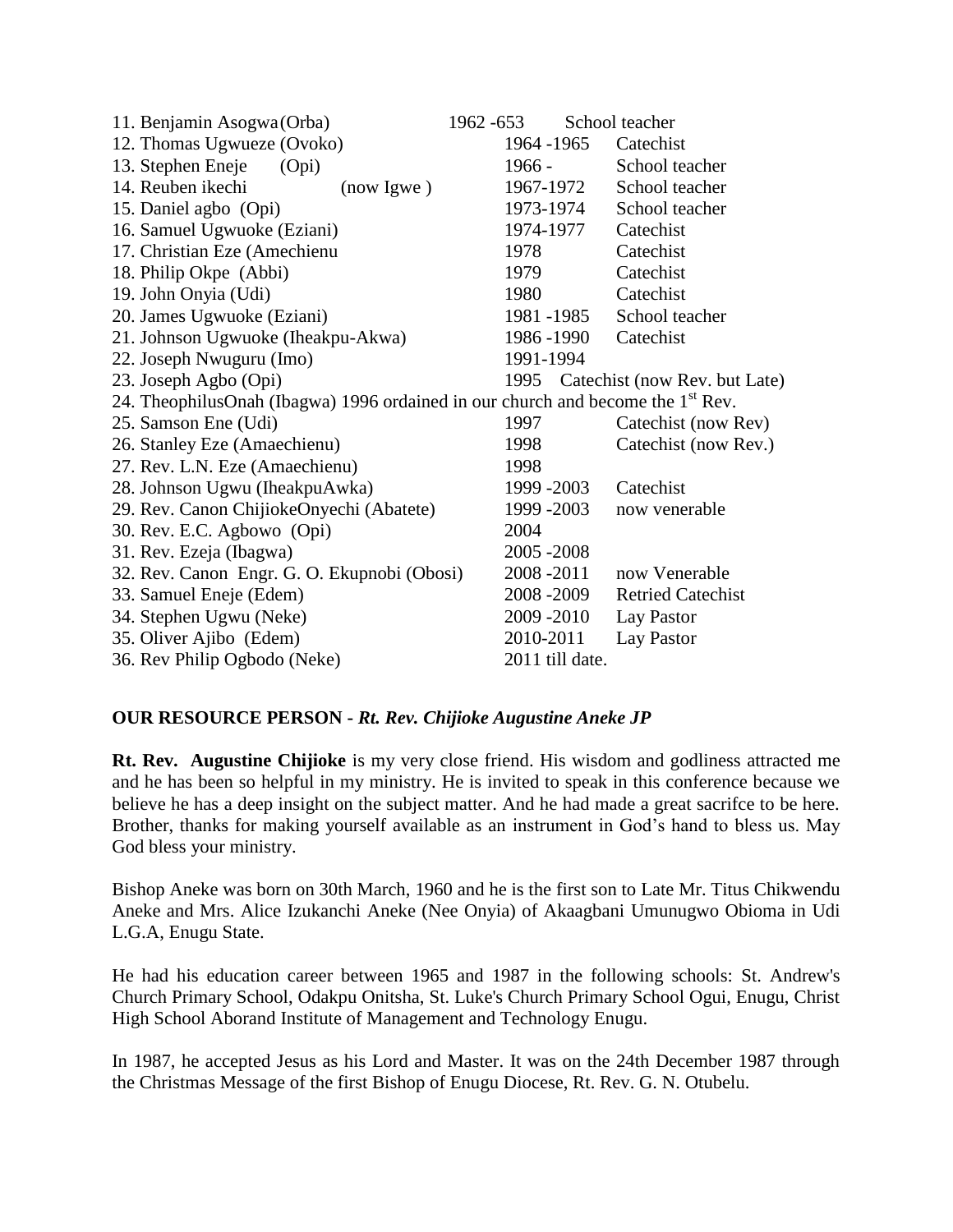| 11. Benjamin Asogwa (Orba)                                                                  | 1962 - 653      | School teacher                     |  |  |  |  |
|---------------------------------------------------------------------------------------------|-----------------|------------------------------------|--|--|--|--|
| 12. Thomas Ugwueze (Ovoko)                                                                  | 1964 - 1965     | Catechist                          |  |  |  |  |
| 13. Stephen Eneje<br>(Opi)                                                                  | $1966 -$        | School teacher                     |  |  |  |  |
| 14. Reuben ikechi<br>(now <i>lgwe</i> )                                                     | 1967-1972       | School teacher                     |  |  |  |  |
| 15. Daniel agbo (Opi)                                                                       | 1973-1974       | School teacher                     |  |  |  |  |
| 16. Samuel Ugwuoke (Eziani)                                                                 | 1974-1977       | Catechist                          |  |  |  |  |
| 17. Christian Eze (Amechienu                                                                | 1978            | Catechist                          |  |  |  |  |
| 18. Philip Okpe (Abbi)                                                                      | 1979            | Catechist                          |  |  |  |  |
| 19. John Onyia (Udi)                                                                        | 1980            | Catechist                          |  |  |  |  |
| 20. James Ugwuoke (Eziani)                                                                  | 1981 -1985      | School teacher                     |  |  |  |  |
| 21. Johnson Ugwuoke (Iheakpu-Akwa)                                                          | 1986 - 1990     | Catechist                          |  |  |  |  |
| 22. Joseph Nwuguru (Imo)                                                                    | 1991-1994       |                                    |  |  |  |  |
| 23. Joseph Agbo (Opi)                                                                       |                 | 1995 Catechist (now Rev. but Late) |  |  |  |  |
| 24. TheophilusOnah (Ibagwa) 1996 ordained in our church and become the 1 <sup>st</sup> Rev. |                 |                                    |  |  |  |  |
| 25. Samson Ene (Udi)                                                                        | 1997            | Catechist (now Rev)                |  |  |  |  |
| 26. Stanley Eze (Amaechienu)                                                                | 1998            | Catechist (now Rev.)               |  |  |  |  |
| 27. Rev. L.N. Eze (Amaechienu)                                                              | 1998            |                                    |  |  |  |  |
| 28. Johnson Ugwu (IheakpuAwka)                                                              | 1999 - 2003     | Catechist                          |  |  |  |  |
| 29. Rev. Canon ChijiokeOnyechi (Abatete)                                                    | 1999 - 2003     | now venerable                      |  |  |  |  |
| 30. Rev. E.C. Agbowo (Opi)                                                                  | 2004            |                                    |  |  |  |  |
| 31. Rev. Ezeja (Ibagwa)                                                                     | 2005 - 2008     |                                    |  |  |  |  |
| 32. Rev. Canon Engr. G. O. Ekupnobi (Obosi)                                                 | 2008 - 2011     | now Venerable                      |  |  |  |  |
| 33. Samuel Eneje (Edem)                                                                     | 2008 - 2009     | <b>Retried Catechist</b>           |  |  |  |  |
| 34. Stephen Ugwu (Neke)                                                                     | 2009 - 2010     | Lay Pastor                         |  |  |  |  |
| 35. Oliver Ajibo (Edem)                                                                     | 2010-2011       | Lay Pastor                         |  |  |  |  |
| 36. Rev Philip Ogbodo (Neke)                                                                | 2011 till date. |                                    |  |  |  |  |

## **OUR RESOURCE PERSON -** *Rt. Rev. Chijioke Augustine Aneke JP*

**Rt. Rev. Augustine Chijioke** is my very close friend. His wisdom and godliness attracted me and he has been so helpful in my ministry. He is invited to speak in this conference because we believe he has a deep insight on the subject matter. And he had made a great sacrifce to be here. Brother, thanks for making yourself available as an instrument in God's hand to bless us. May God bless your ministry.

Bishop Aneke was born on 30th March, 1960 and he is the first son to Late Mr. Titus Chikwendu Aneke and Mrs. Alice Izukanchi Aneke (Nee Onyia) of Akaagbani Umunugwo Obioma in Udi L.G.A, Enugu State.

He had his education career between 1965 and 1987 in the following schools: St. Andrew's Church Primary School, Odakpu Onitsha, St. Luke's Church Primary School Ogui, Enugu, Christ High School Aborand Institute of Management and Technology Enugu.

In 1987, he accepted Jesus as his Lord and Master. It was on the 24th December 1987 through the Christmas Message of the first Bishop of Enugu Diocese, Rt. Rev. G. N. Otubelu.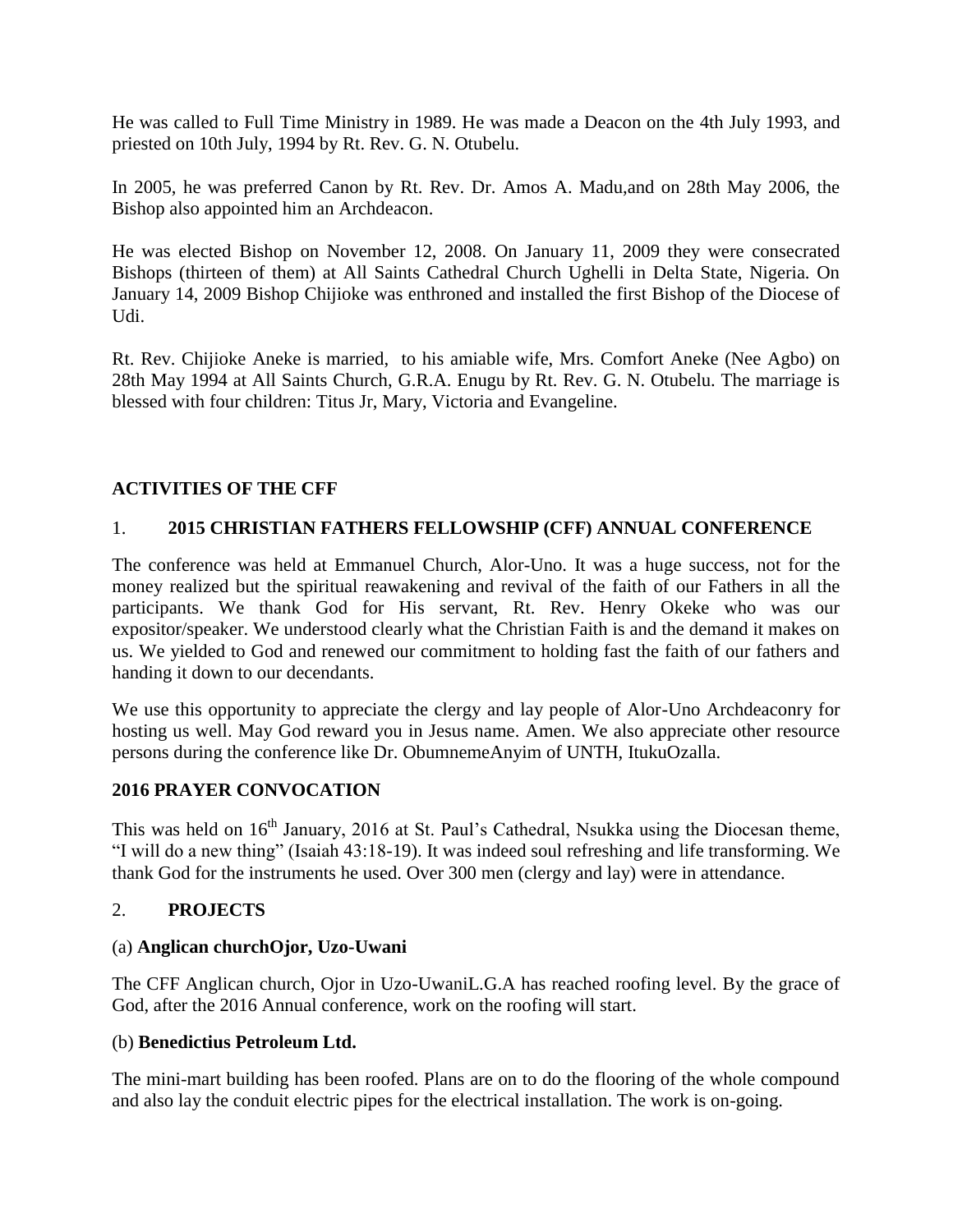He was called to Full Time Ministry in 1989. He was made a Deacon on the 4th July 1993, and priested on 10th July, 1994 by Rt. Rev. G. N. Otubelu.

In 2005, he was preferred Canon by Rt. Rev. Dr. Amos A. Madu,and on 28th May 2006, the Bishop also appointed him an Archdeacon.

He was elected Bishop on November 12, 2008. On January 11, 2009 they were consecrated Bishops (thirteen of them) at All Saints Cathedral Church Ughelli in Delta State, Nigeria. On January 14, 2009 Bishop Chijioke was enthroned and installed the first Bishop of the Diocese of Udi.

Rt. Rev. Chijioke Aneke is married, to his amiable wife, Mrs. Comfort Aneke (Nee Agbo) on 28th May 1994 at All Saints Church, G.R.A. Enugu by Rt. Rev. G. N. Otubelu. The marriage is blessed with four children: Titus Jr, Mary, Victoria and Evangeline.

## **ACTIVITIES OF THE CFF**

## 1. **2015 CHRISTIAN FATHERS FELLOWSHIP (CFF) ANNUAL CONFERENCE**

The conference was held at Emmanuel Church, Alor-Uno. It was a huge success, not for the money realized but the spiritual reawakening and revival of the faith of our Fathers in all the participants. We thank God for His servant, Rt. Rev. Henry Okeke who was our expositor/speaker. We understood clearly what the Christian Faith is and the demand it makes on us. We yielded to God and renewed our commitment to holding fast the faith of our fathers and handing it down to our decendants.

We use this opportunity to appreciate the clergy and lay people of Alor-Uno Archdeaconry for hosting us well. May God reward you in Jesus name. Amen. We also appreciate other resource persons during the conference like Dr. ObumnemeAnyim of UNTH, ItukuOzalla.

## **2016 PRAYER CONVOCATION**

This was held on  $16<sup>th</sup>$  January, 2016 at St. Paul's Cathedral, Nsukka using the Diocesan theme, "I will do a new thing" (Isaiah 43:18-19). It was indeed soul refreshing and life transforming. We thank God for the instruments he used. Over 300 men (clergy and lay) were in attendance.

## 2. **PROJECTS**

## (a) **Anglican churchOjor, Uzo-Uwani**

The CFF Anglican church, Ojor in Uzo-UwaniL.G.A has reached roofing level. By the grace of God, after the 2016 Annual conference, work on the roofing will start.

#### (b) **Benedictius Petroleum Ltd.**

The mini-mart building has been roofed. Plans are on to do the flooring of the whole compound and also lay the conduit electric pipes for the electrical installation. The work is on-going.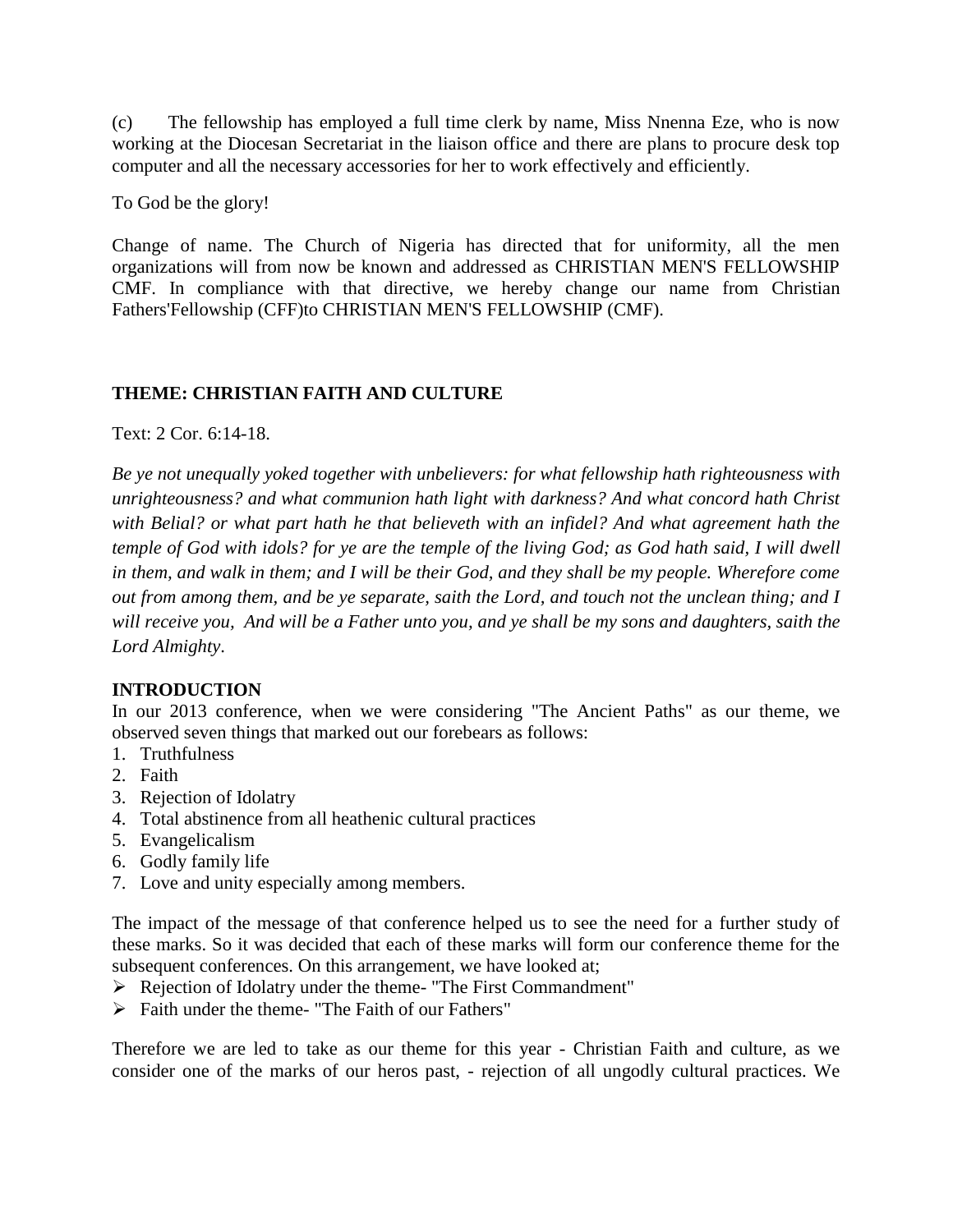(c) The fellowship has employed a full time clerk by name, Miss Nnenna Eze, who is now working at the Diocesan Secretariat in the liaison office and there are plans to procure desk top computer and all the necessary accessories for her to work effectively and efficiently.

To God be the glory!

Change of name. The Church of Nigeria has directed that for uniformity, all the men organizations will from now be known and addressed as CHRISTIAN MEN'S FELLOWSHIP CMF. In compliance with that directive, we hereby change our name from Christian Fathers'Fellowship (CFF)to CHRISTIAN MEN'S FELLOWSHIP (CMF).

## **THEME: CHRISTIAN FAITH AND CULTURE**

Text: 2 Cor. 6:14-18.

*Be ye not unequally yoked together with unbelievers: for what fellowship hath righteousness with unrighteousness? and what communion hath light with darkness? And what concord hath Christ with Belial? or what part hath he that believeth with an infidel? And what agreement hath the temple of God with idols? for ye are the temple of the living God; as God hath said, I will dwell in them, and walk in them; and I will be their God, and they shall be my people. Wherefore come out from among them, and be ye separate, saith the Lord, and touch not the unclean thing; and I will receive you, And will be a Father unto you, and ye shall be my sons and daughters, saith the Lord Almighty*.

## **INTRODUCTION**

In our 2013 conference, when we were considering "The Ancient Paths" as our theme, we observed seven things that marked out our forebears as follows:

- 1. Truthfulness
- 2. Faith
- 3. Rejection of Idolatry
- 4. Total abstinence from all heathenic cultural practices
- 5. Evangelicalism
- 6. Godly family life
- 7. Love and unity especially among members.

The impact of the message of that conference helped us to see the need for a further study of these marks. So it was decided that each of these marks will form our conference theme for the subsequent conferences. On this arrangement, we have looked at;

- Rejection of Idolatry under the theme- "The First Commandment"
- $\triangleright$  Faith under the theme- "The Faith of our Fathers"

Therefore we are led to take as our theme for this year - Christian Faith and culture, as we consider one of the marks of our heros past, - rejection of all ungodly cultural practices. We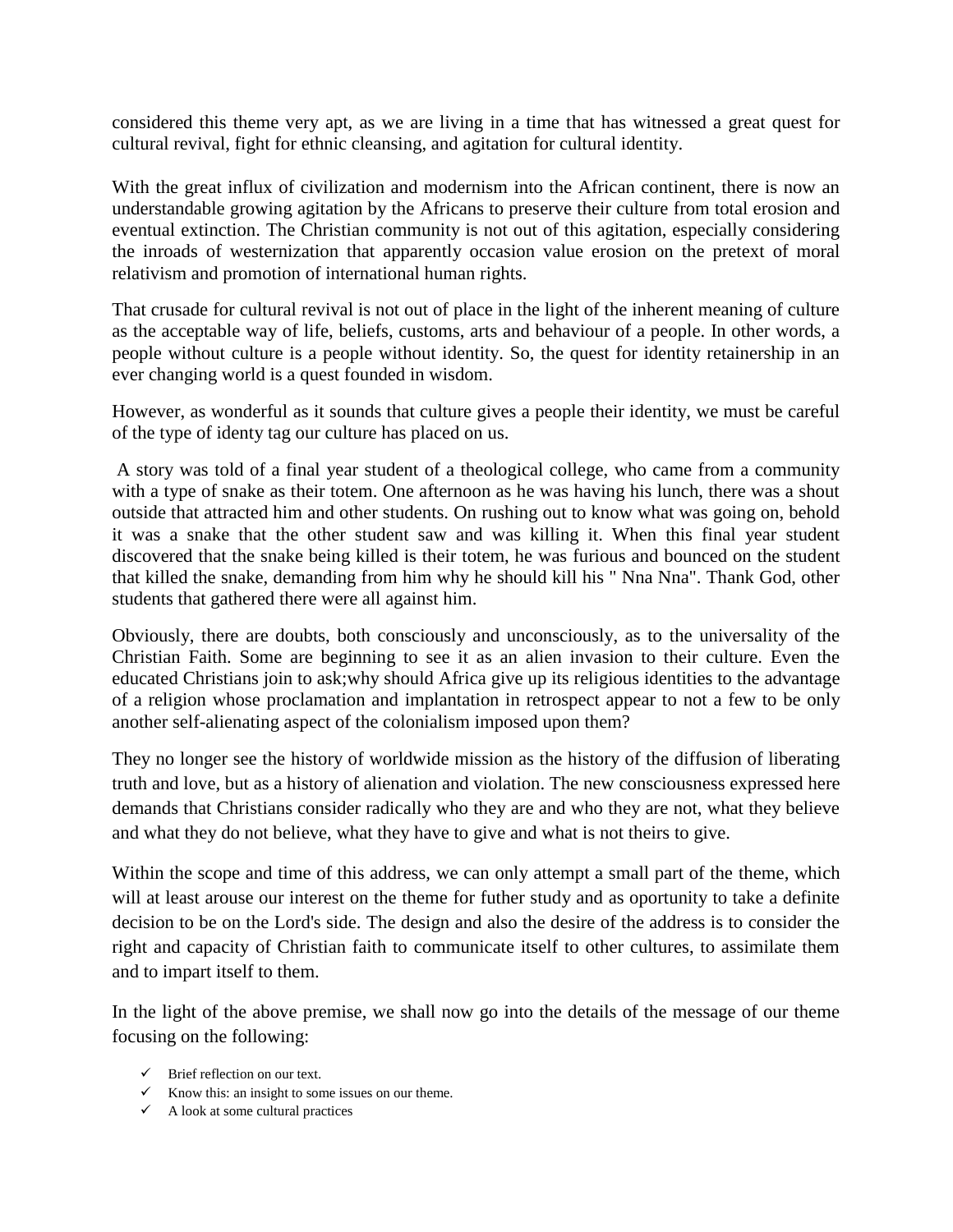considered this theme very apt, as we are living in a time that has witnessed a great quest for cultural revival, fight for ethnic cleansing, and agitation for cultural identity.

With the great influx of civilization and modernism into the African continent, there is now an understandable growing agitation by the Africans to preserve their culture from total erosion and eventual extinction. The Christian community is not out of this agitation, especially considering the inroads of westernization that apparently occasion value erosion on the pretext of moral relativism and promotion of international human rights.

That crusade for cultural revival is not out of place in the light of the inherent meaning of culture as the acceptable way of life, beliefs, customs, arts and behaviour of a people. In other words, a people without culture is a people without identity. So, the quest for identity retainership in an ever changing world is a quest founded in wisdom.

However, as wonderful as it sounds that culture gives a people their identity, we must be careful of the type of identy tag our culture has placed on us.

A story was told of a final year student of a theological college, who came from a community with a type of snake as their totem. One afternoon as he was having his lunch, there was a shout outside that attracted him and other students. On rushing out to know what was going on, behold it was a snake that the other student saw and was killing it. When this final year student discovered that the snake being killed is their totem, he was furious and bounced on the student that killed the snake, demanding from him why he should kill his " Nna Nna". Thank God, other students that gathered there were all against him.

Obviously, there are doubts, both consciously and unconsciously, as to the universality of the Christian Faith. Some are beginning to see it as an alien invasion to their culture. Even the educated Christians join to ask;why should Africa give up its religious identities to the advantage of a religion whose proclamation and implantation in retrospect appear to not a few to be only another self-alienating aspect of the colonialism imposed upon them?

They no longer see the history of worldwide mission as the history of the diffusion of liberating truth and love, but as a history of alienation and violation. The new consciousness expressed here demands that Christians consider radically who they are and who they are not, what they believe and what they do not believe, what they have to give and what is not theirs to give.

Within the scope and time of this address, we can only attempt a small part of the theme, which will at least arouse our interest on the theme for futher study and as oportunity to take a definite decision to be on the Lord's side. The design and also the desire of the address is to consider the right and capacity of Christian faith to communicate itself to other cultures, to assimilate them and to impart itself to them.

In the light of the above premise, we shall now go into the details of the message of our theme focusing on the following:

- $\checkmark$  Brief reflection on our text.
- $\checkmark$  Know this: an insight to some issues on our theme.
- $\checkmark$  A look at some cultural practices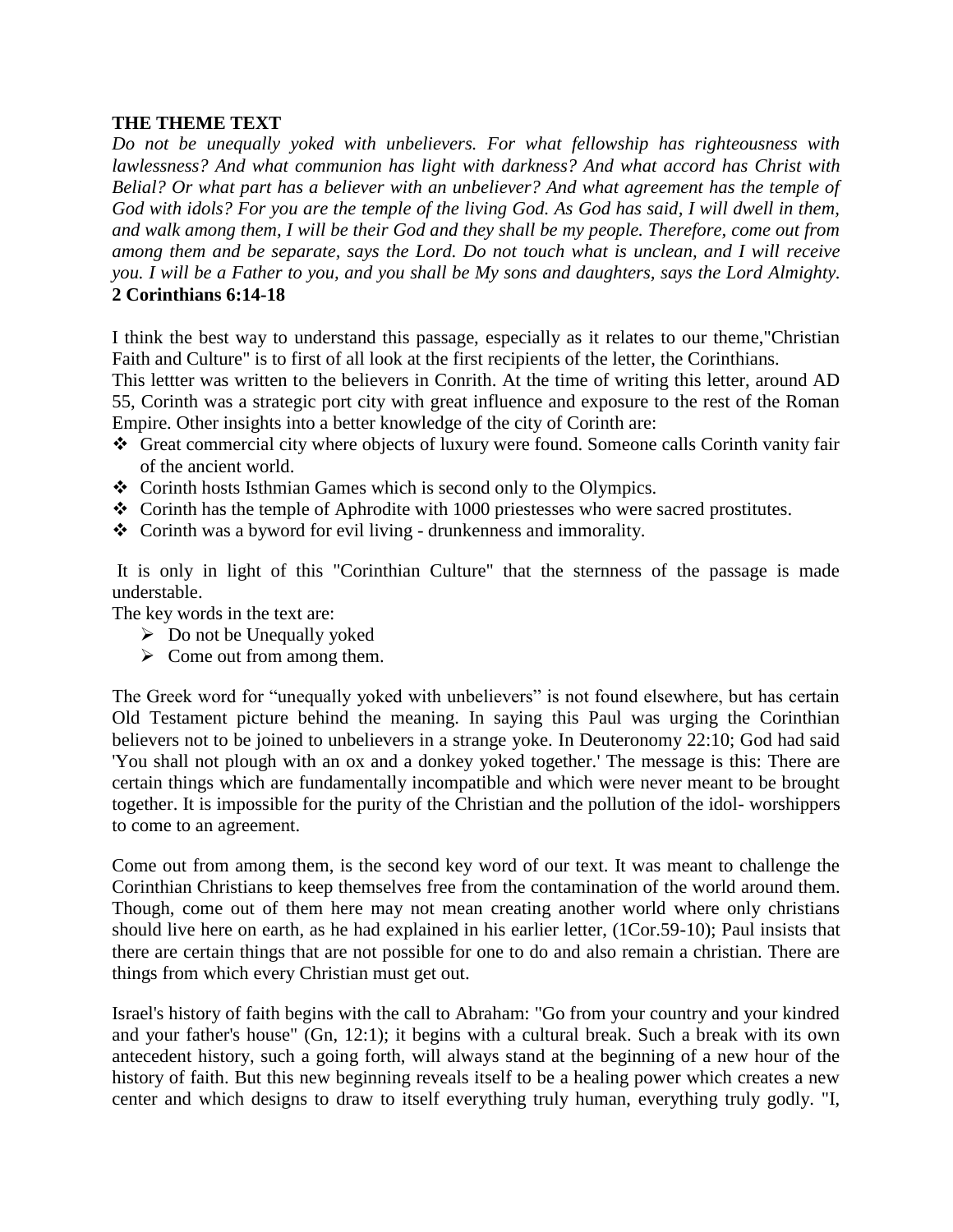## **THE THEME TEXT**

*Do not be unequally yoked with unbelievers. For what fellowship has righteousness with lawlessness? And what communion has light with darkness? And what accord has Christ with Belial? Or what part has a believer with an unbeliever? And what agreement has the temple of God with idols? For you are the temple of the living God. As God has said, I will dwell in them, and walk among them, I will be their God and they shall be my people. Therefore, come out from among them and be separate, says the Lord. Do not touch what is unclean, and I will receive you. I will be a Father to you, and you shall be My sons and daughters, says the Lord Almighty.*  **2 Corinthians 6:14-18**

I think the best way to understand this passage, especially as it relates to our theme,"Christian Faith and Culture" is to first of all look at the first recipients of the letter, the Corinthians.

This lettter was written to the believers in Conrith. At the time of writing this letter, around AD 55, Corinth was a strategic port city with great influence and exposure to the rest of the Roman Empire. Other insights into a better knowledge of the city of Corinth are:

- Great commercial city where objects of luxury were found. Someone calls Corinth vanity fair of the ancient world.
- Corinth hosts Isthmian Games which is second only to the Olympics.
- Corinth has the temple of Aphrodite with 1000 priestesses who were sacred prostitutes.
- Corinth was a byword for evil living drunkenness and immorality.

It is only in light of this "Corinthian Culture" that the sternness of the passage is made understable.

The key words in the text are:

- $\triangleright$  Do not be Unequally yoked
- $\triangleright$  Come out from among them.

The Greek word for "unequally yoked with unbelievers" is not found elsewhere, but has certain Old Testament picture behind the meaning. In saying this Paul was urging the Corinthian believers not to be joined to unbelievers in a strange yoke. In Deuteronomy 22:10; God had said 'You shall not plough with an ox and a donkey yoked together.' The message is this: There are certain things which are fundamentally incompatible and which were never meant to be brought together. It is impossible for the purity of the Christian and the pollution of the idol- worshippers to come to an agreement.

Come out from among them, is the second key word of our text. It was meant to challenge the Corinthian Christians to keep themselves free from the contamination of the world around them. Though, come out of them here may not mean creating another world where only christians should live here on earth, as he had explained in his earlier letter, (1Cor.59-10); Paul insists that there are certain things that are not possible for one to do and also remain a christian. There are things from which every Christian must get out.

Israel's history of faith begins with the call to Abraham: "Go from your country and your kindred and your father's house" (Gn, 12:1); it begins with a cultural break. Such a break with its own antecedent history, such a going forth, will always stand at the beginning of a new hour of the history of faith. But this new beginning reveals itself to be a healing power which creates a new center and which designs to draw to itself everything truly human, everything truly godly. "I,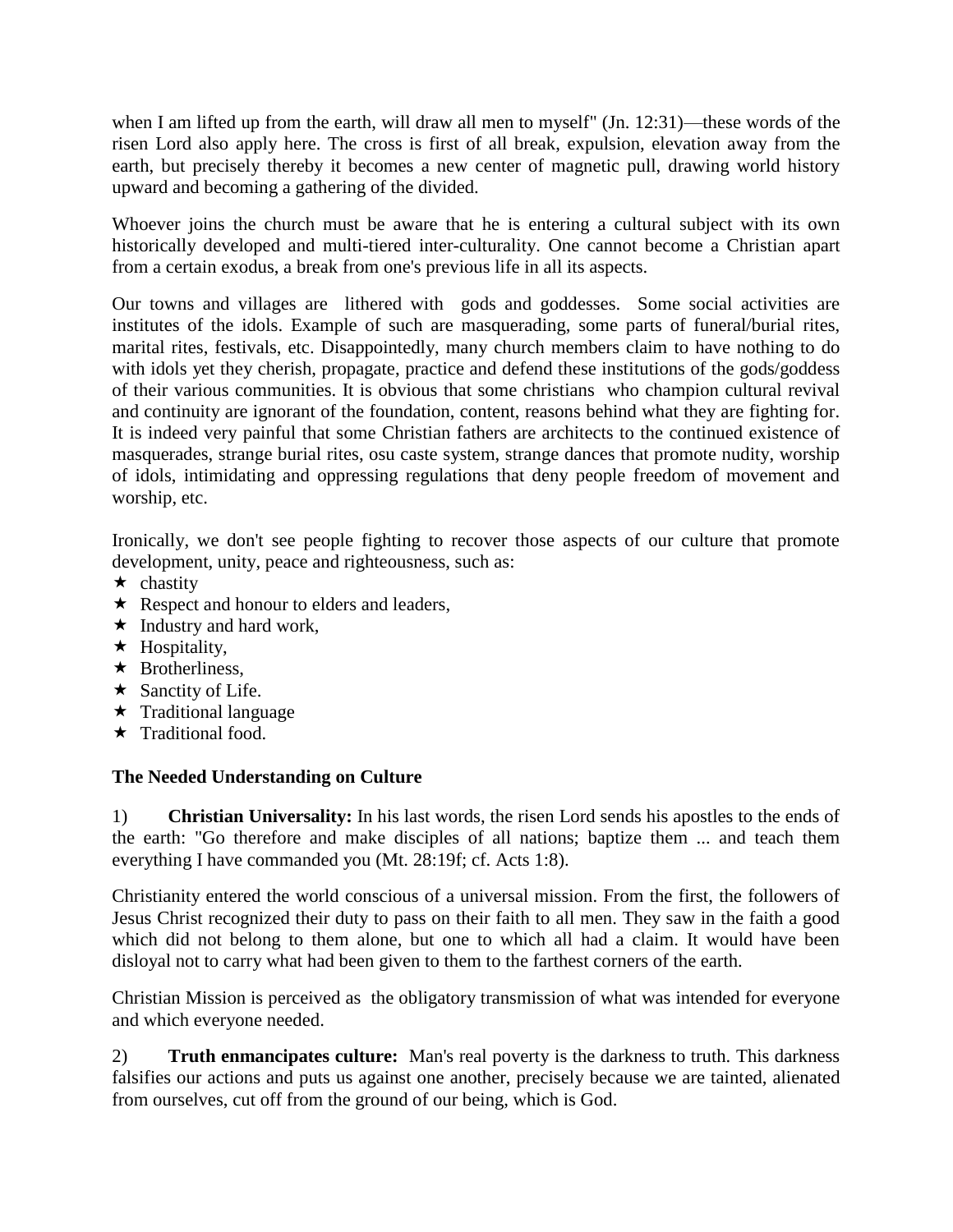when I am lifted up from the earth, will draw all men to myself" (Jn. 12:31)—these words of the risen Lord also apply here. The cross is first of all break, expulsion, elevation away from the earth, but precisely thereby it becomes a new center of magnetic pull, drawing world history upward and becoming a gathering of the divided.

Whoever joins the church must be aware that he is entering a cultural subject with its own historically developed and multi-tiered inter-culturality. One cannot become a Christian apart from a certain exodus, a break from one's previous life in all its aspects.

Our towns and villages are lithered with gods and goddesses. Some social activities are institutes of the idols. Example of such are masquerading, some parts of funeral/burial rites, marital rites, festivals, etc. Disappointedly, many church members claim to have nothing to do with idols yet they cherish, propagate, practice and defend these institutions of the gods/goddess of their various communities. It is obvious that some christians who champion cultural revival and continuity are ignorant of the foundation, content, reasons behind what they are fighting for. It is indeed very painful that some Christian fathers are architects to the continued existence of masquerades, strange burial rites, osu caste system, strange dances that promote nudity, worship of idols, intimidating and oppressing regulations that deny people freedom of movement and worship, etc.

Ironically, we don't see people fighting to recover those aspects of our culture that promote development, unity, peace and righteousness, such as:

- $\star$  chastity
- $\star$  Respect and honour to elders and leaders,
- $\star$  Industry and hard work,
- $\star$  Hospitality,
- $\star$  Brotherliness,
- $\star$  Sanctity of Life.
- $\star$  Traditional language
- $\star$  Traditional food.

# **The Needed Understanding on Culture**

1) **Christian Universality:** In his last words, the risen Lord sends his apostles to the ends of the earth: "Go therefore and make disciples of all nations; baptize them ... and teach them everything I have commanded you (Mt. 28:19f; cf. Acts 1:8).

Christianity entered the world conscious of a universal mission. From the first, the followers of Jesus Christ recognized their duty to pass on their faith to all men. They saw in the faith a good which did not belong to them alone, but one to which all had a claim. It would have been disloyal not to carry what had been given to them to the farthest corners of the earth.

Christian Mission is perceived as the obligatory transmission of what was intended for everyone and which everyone needed.

2) **Truth enmancipates culture:** Man's real poverty is the darkness to truth. This darkness falsifies our actions and puts us against one another, precisely because we are tainted, alienated from ourselves, cut off from the ground of our being, which is God.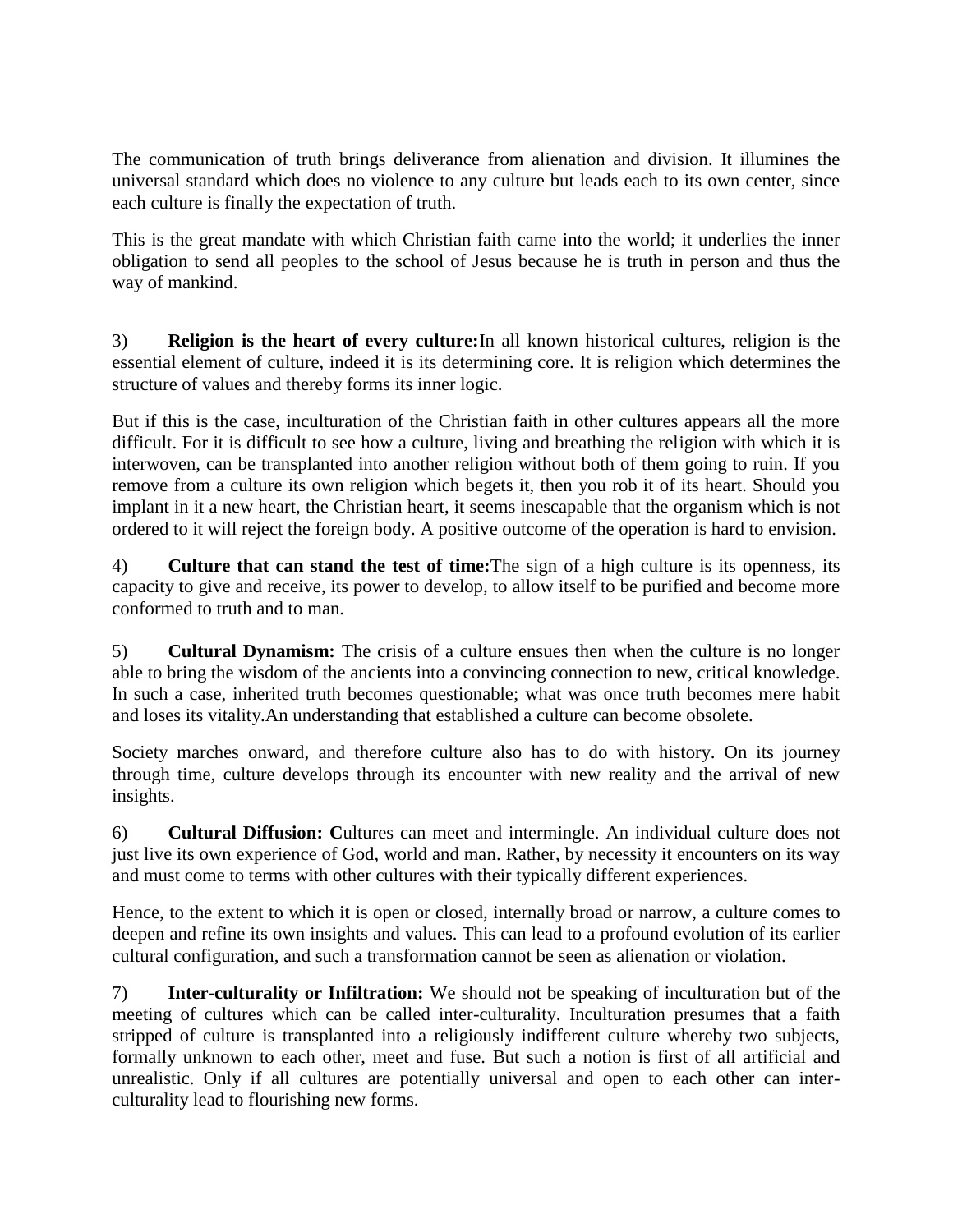The communication of truth brings deliverance from alienation and division. It illumines the universal standard which does no violence to any culture but leads each to its own center, since each culture is finally the expectation of truth.

This is the great mandate with which Christian faith came into the world; it underlies the inner obligation to send all peoples to the school of Jesus because he is truth in person and thus the way of mankind.

3) **Religion is the heart of every culture:**In all known historical cultures, religion is the essential element of culture, indeed it is its determining core. It is religion which determines the structure of values and thereby forms its inner logic.

But if this is the case, inculturation of the Christian faith in other cultures appears all the more difficult. For it is difficult to see how a culture, living and breathing the religion with which it is interwoven, can be transplanted into another religion without both of them going to ruin. If you remove from a culture its own religion which begets it, then you rob it of its heart. Should you implant in it a new heart, the Christian heart, it seems inescapable that the organism which is not ordered to it will reject the foreign body. A positive outcome of the operation is hard to envision.

4) **Culture that can stand the test of time:**The sign of a high culture is its openness, its capacity to give and receive, its power to develop, to allow itself to be purified and become more conformed to truth and to man.

5) **Cultural Dynamism:** The crisis of a culture ensues then when the culture is no longer able to bring the wisdom of the ancients into a convincing connection to new, critical knowledge. In such a case, inherited truth becomes questionable; what was once truth becomes mere habit and loses its vitality.An understanding that established a culture can become obsolete.

Society marches onward, and therefore culture also has to do with history. On its journey through time, culture develops through its encounter with new reality and the arrival of new insights.

6) **Cultural Diffusion: C**ultures can meet and intermingle. An individual culture does not just live its own experience of God, world and man. Rather, by necessity it encounters on its way and must come to terms with other cultures with their typically different experiences.

Hence, to the extent to which it is open or closed, internally broad or narrow, a culture comes to deepen and refine its own insights and values. This can lead to a profound evolution of its earlier cultural configuration, and such a transformation cannot be seen as alienation or violation.

7) **Inter-culturality or Infiltration:** We should not be speaking of inculturation but of the meeting of cultures which can be called inter-culturality. Inculturation presumes that a faith stripped of culture is transplanted into a religiously indifferent culture whereby two subjects, formally unknown to each other, meet and fuse. But such a notion is first of all artificial and unrealistic. Only if all cultures are potentially universal and open to each other can interculturality lead to flourishing new forms.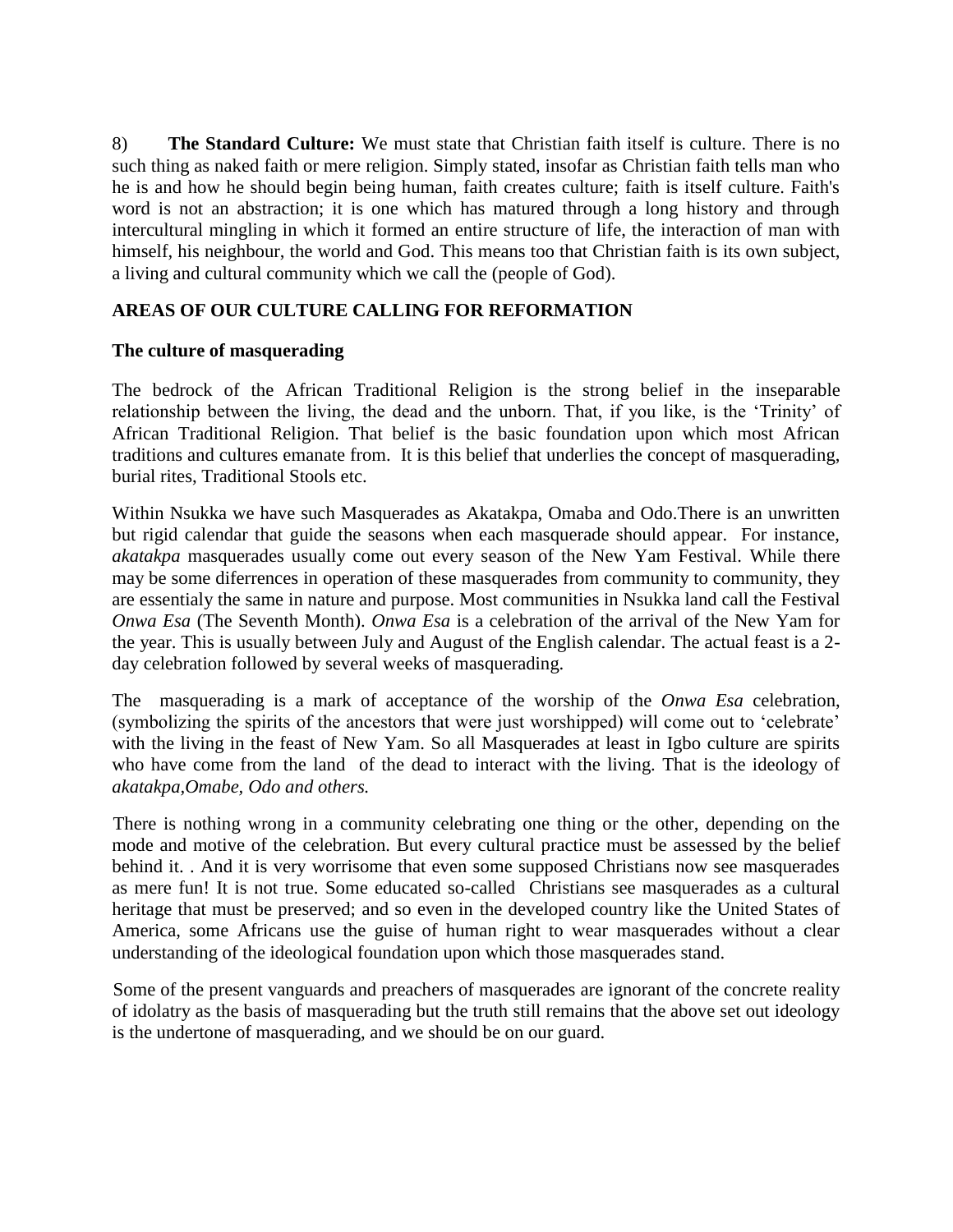8) **The Standard Culture:** We must state that Christian faith itself is culture. There is no such thing as naked faith or mere religion. Simply stated, insofar as Christian faith tells man who he is and how he should begin being human, faith creates culture; faith is itself culture. Faith's word is not an abstraction; it is one which has matured through a long history and through intercultural mingling in which it formed an entire structure of life, the interaction of man with himself, his neighbour, the world and God. This means too that Christian faith is its own subject, a living and cultural community which we call the (people of God).

## **AREAS OF OUR CULTURE CALLING FOR REFORMATION**

## **The culture of masquerading**

The bedrock of the African Traditional Religion is the strong belief in the inseparable relationship between the living, the dead and the unborn. That, if you like, is the 'Trinity' of African Traditional Religion. That belief is the basic foundation upon which most African traditions and cultures emanate from. It is this belief that underlies the concept of masquerading, burial rites, Traditional Stools etc.

Within Nsukka we have such Masquerades as Akatakpa, Omaba and Odo.There is an unwritten but rigid calendar that guide the seasons when each masquerade should appear. For instance, *akatakpa* masquerades usually come out every season of the New Yam Festival. While there may be some diferrences in operation of these masquerades from community to community, they are essentialy the same in nature and purpose. Most communities in Nsukka land call the Festival *Onwa Esa* (The Seventh Month). *Onwa Esa* is a celebration of the arrival of the New Yam for the year. This is usually between July and August of the English calendar. The actual feast is a 2 day celebration followed by several weeks of masquerading.

The masquerading is a mark of acceptance of the worship of the *Onwa Esa* celebration, (symbolizing the spirits of the ancestors that were just worshipped) will come out to 'celebrate' with the living in the feast of New Yam. So all Masquerades at least in Igbo culture are spirits who have come from the land of the dead to interact with the living. That is the ideology of *akatakpa,Omabe, Odo and others.*

There is nothing wrong in a community celebrating one thing or the other, depending on the mode and motive of the celebration. But every cultural practice must be assessed by the belief behind it. . And it is very worrisome that even some supposed Christians now see masquerades as mere fun! It is not true. Some educated so-called Christians see masquerades as a cultural heritage that must be preserved; and so even in the developed country like the United States of America, some Africans use the guise of human right to wear masquerades without a clear understanding of the ideological foundation upon which those masquerades stand.

Some of the present vanguards and preachers of masquerades are ignorant of the concrete reality of idolatry as the basis of masquerading but the truth still remains that the above set out ideology is the undertone of masquerading, and we should be on our guard.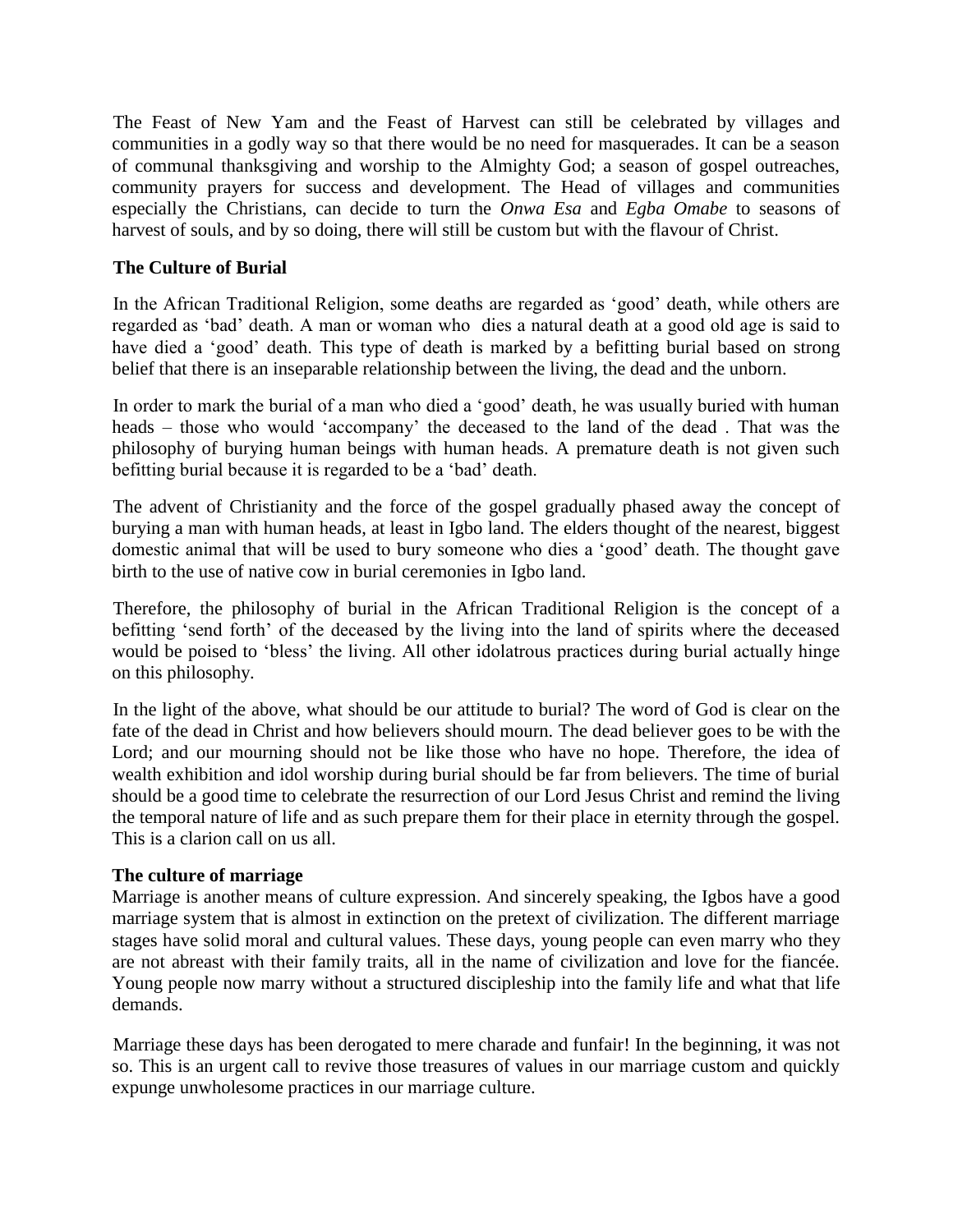The Feast of New Yam and the Feast of Harvest can still be celebrated by villages and communities in a godly way so that there would be no need for masquerades. It can be a season of communal thanksgiving and worship to the Almighty God; a season of gospel outreaches, community prayers for success and development. The Head of villages and communities especially the Christians, can decide to turn the *Onwa Esa* and *Egba Omabe* to seasons of harvest of souls, and by so doing, there will still be custom but with the flavour of Christ.

## **The Culture of Burial**

In the African Traditional Religion, some deaths are regarded as 'good' death, while others are regarded as 'bad' death. A man or woman who dies a natural death at a good old age is said to have died a 'good' death. This type of death is marked by a befitting burial based on strong belief that there is an inseparable relationship between the living, the dead and the unborn.

In order to mark the burial of a man who died a 'good' death, he was usually buried with human heads – those who would 'accompany' the deceased to the land of the dead. That was the philosophy of burying human beings with human heads. A premature death is not given such befitting burial because it is regarded to be a 'bad' death.

The advent of Christianity and the force of the gospel gradually phased away the concept of burying a man with human heads, at least in Igbo land. The elders thought of the nearest, biggest domestic animal that will be used to bury someone who dies a 'good' death. The thought gave birth to the use of native cow in burial ceremonies in Igbo land.

Therefore, the philosophy of burial in the African Traditional Religion is the concept of a befitting 'send forth' of the deceased by the living into the land of spirits where the deceased would be poised to 'bless' the living. All other idolatrous practices during burial actually hinge on this philosophy.

In the light of the above, what should be our attitude to burial? The word of God is clear on the fate of the dead in Christ and how believers should mourn. The dead believer goes to be with the Lord; and our mourning should not be like those who have no hope. Therefore, the idea of wealth exhibition and idol worship during burial should be far from believers. The time of burial should be a good time to celebrate the resurrection of our Lord Jesus Christ and remind the living the temporal nature of life and as such prepare them for their place in eternity through the gospel. This is a clarion call on us all.

## **The culture of marriage**

Marriage is another means of culture expression. And sincerely speaking, the Igbos have a good marriage system that is almost in extinction on the pretext of civilization. The different marriage stages have solid moral and cultural values. These days, young people can even marry who they are not abreast with their family traits, all in the name of civilization and love for the fiancée. Young people now marry without a structured discipleship into the family life and what that life demands.

Marriage these days has been derogated to mere charade and funfair! In the beginning, it was not so. This is an urgent call to revive those treasures of values in our marriage custom and quickly expunge unwholesome practices in our marriage culture.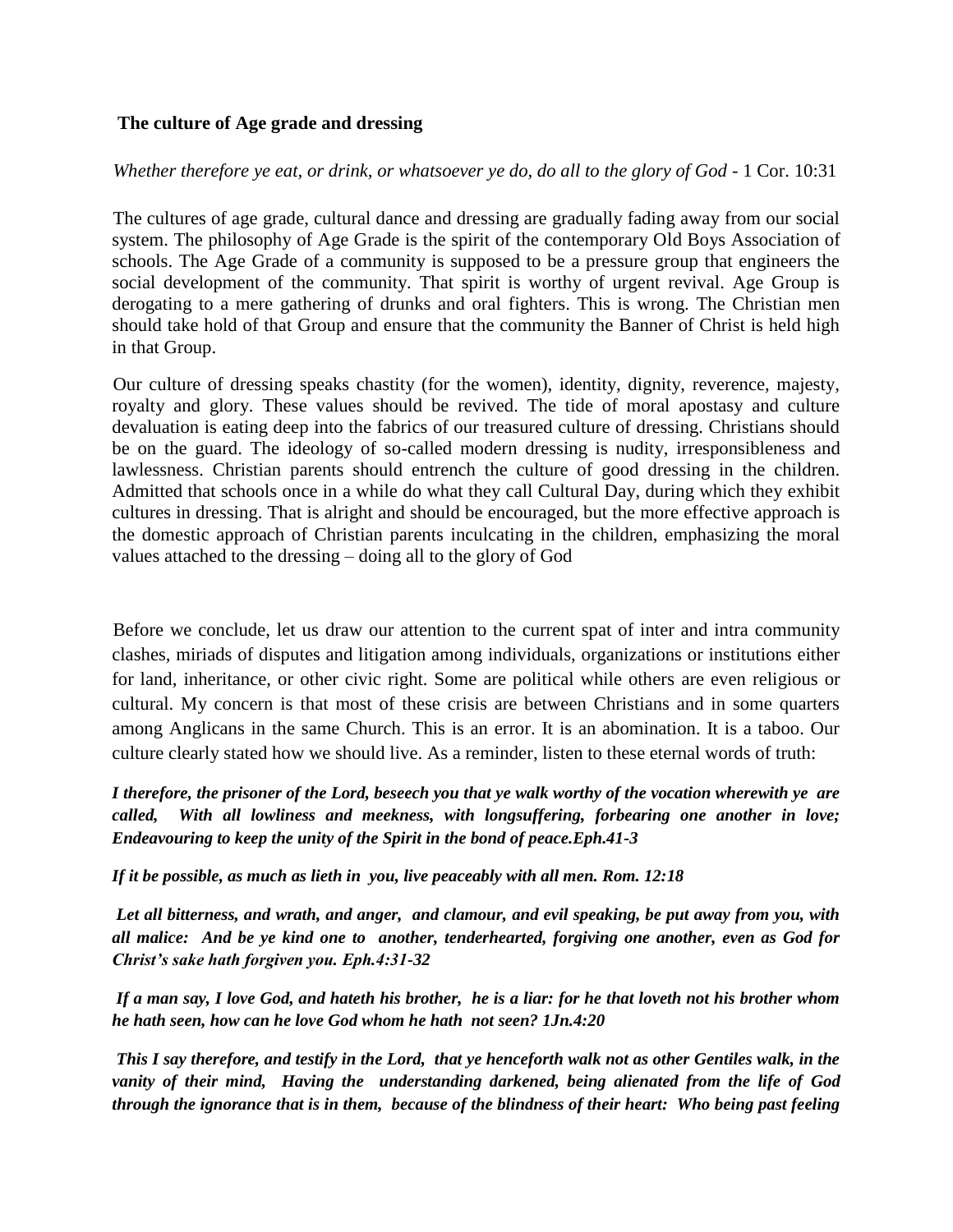## **The culture of Age grade and dressing**

*Whether therefore ye eat, or drink, or whatsoever ye do, do all to the glory of God* - 1 Cor. 10:31

The cultures of age grade, cultural dance and dressing are gradually fading away from our social system. The philosophy of Age Grade is the spirit of the contemporary Old Boys Association of schools. The Age Grade of a community is supposed to be a pressure group that engineers the social development of the community. That spirit is worthy of urgent revival. Age Group is derogating to a mere gathering of drunks and oral fighters. This is wrong. The Christian men should take hold of that Group and ensure that the community the Banner of Christ is held high in that Group.

Our culture of dressing speaks chastity (for the women), identity, dignity, reverence, majesty, royalty and glory. These values should be revived. The tide of moral apostasy and culture devaluation is eating deep into the fabrics of our treasured culture of dressing. Christians should be on the guard. The ideology of so-called modern dressing is nudity, irresponsibleness and lawlessness. Christian parents should entrench the culture of good dressing in the children. Admitted that schools once in a while do what they call Cultural Day, during which they exhibit cultures in dressing. That is alright and should be encouraged, but the more effective approach is the domestic approach of Christian parents inculcating in the children, emphasizing the moral values attached to the dressing – doing all to the glory of God

Before we conclude, let us draw our attention to the current spat of inter and intra community clashes, miriads of disputes and litigation among individuals, organizations or institutions either for land, inheritance, or other civic right. Some are political while others are even religious or cultural. My concern is that most of these crisis are between Christians and in some quarters among Anglicans in the same Church. This is an error. It is an abomination. It is a taboo. Our culture clearly stated how we should live. As a reminder, listen to these eternal words of truth:

*I therefore, the prisoner of the Lord, beseech you that ye walk worthy of the vocation wherewith ye are called, With all lowliness and meekness, with longsuffering, forbearing one another in love; Endeavouring to keep the unity of the Spirit in the bond of peace.Eph.41-3*

*If it be possible, as much as lieth in you, live peaceably with all men. Rom. 12:18*

*Let all bitterness, and wrath, and anger, and clamour, and evil speaking, be put away from you, with all malice: And be ye kind one to another, tenderhearted, forgiving one another, even as God for Christ's sake hath forgiven you. Eph.4:31-32*

*If a man say, I love God, and hateth his brother, he is a liar: for he that loveth not his brother whom he hath seen, how can he love God whom he hath not seen? 1Jn.4:20*

*This I say therefore, and testify in the Lord, that ye henceforth walk not as other Gentiles walk, in the vanity of their mind, Having the understanding darkened, being alienated from the life of God through the ignorance that is in them, because of the blindness of their heart: Who being past feeling*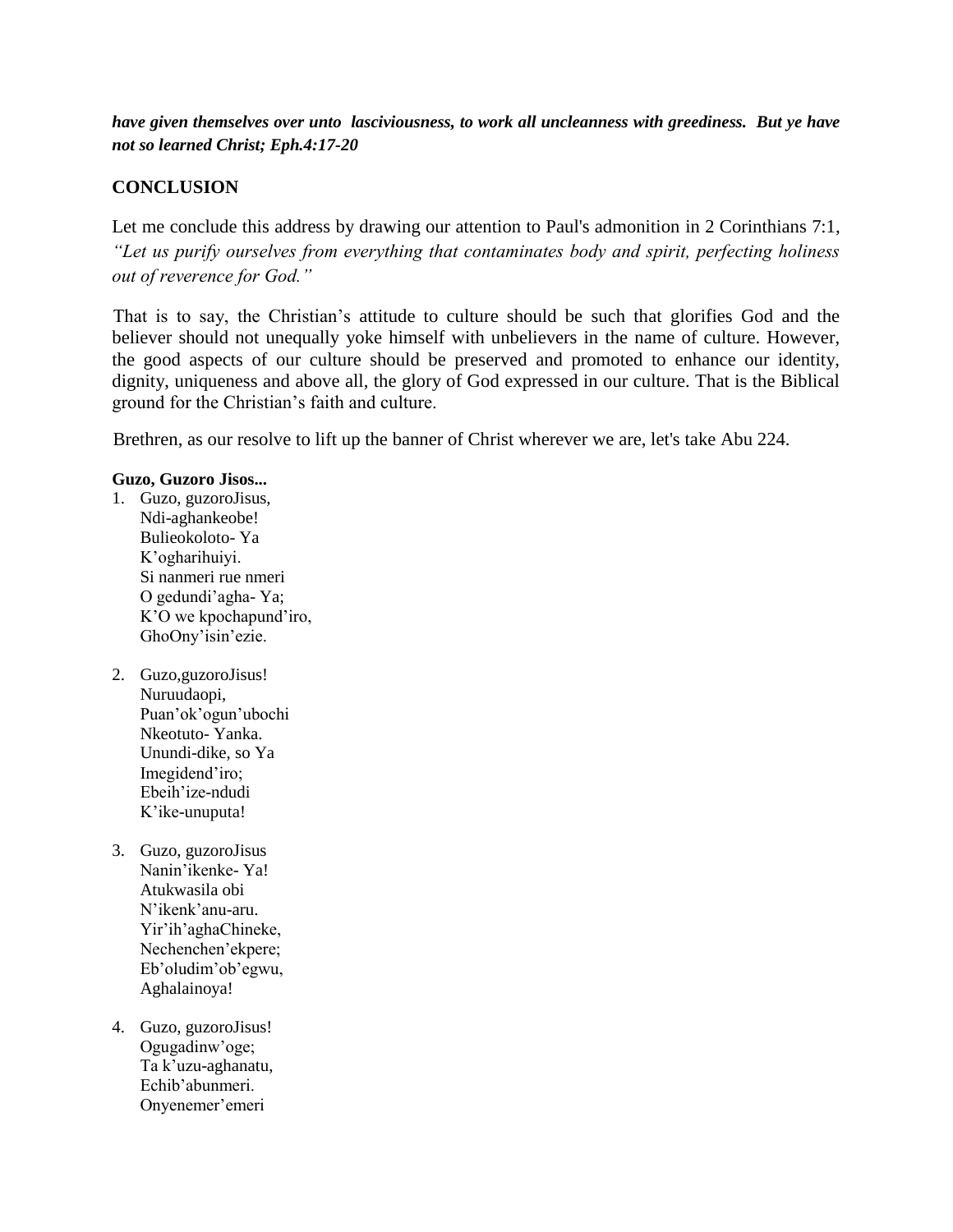*have given themselves over unto lasciviousness, to work all uncleanness with greediness. But ye have not so learned Christ; Eph.4:17-20*

## **CONCLUSION**

Let me conclude this address by drawing our attention to Paul's admonition in 2 Corinthians 7:1, *"Let us purify ourselves from everything that contaminates body and spirit, perfecting holiness out of reverence for God."*

That is to say, the Christian's attitude to culture should be such that glorifies God and the believer should not unequally yoke himself with unbelievers in the name of culture. However, the good aspects of our culture should be preserved and promoted to enhance our identity, dignity, uniqueness and above all, the glory of God expressed in our culture. That is the Biblical ground for the Christian's faith and culture.

Brethren, as our resolve to lift up the banner of Christ wherever we are, let's take Abu 224.

## **Guzo, Guzoro Jisos...**

- 1. Guzo, guzoroJisus, Ndi-aghankeobe! Bulieokoloto- Ya K'ogharihuiyi. Si nanmeri rue nmeri O gedundi'agha- Ya; K'O we kpochapund'iro, GhoOny'isin'ezie.
- 2. Guzo,guzoroJisus! Nuruudaopi, Puan'ok'ogun'ubochi Nkeotuto- Yanka. Unundi-dike, so Ya Imegidend'iro; Ebeih'ize-ndudi K'ike-unuputa!
- 3. Guzo, guzoroJisus Nanin'ikenke- Ya! Atukwasila obi N'ikenk'anu-aru. Yir'ih'aghaChineke, Nechenchen'ekpere; Eb'oludim'ob'egwu, Aghalainoya!
- 4. Guzo, guzoroJisus! Ogugadinw'oge; Ta k'uzu-aghanatu, Echib'abunmeri. Onyenemer'emeri